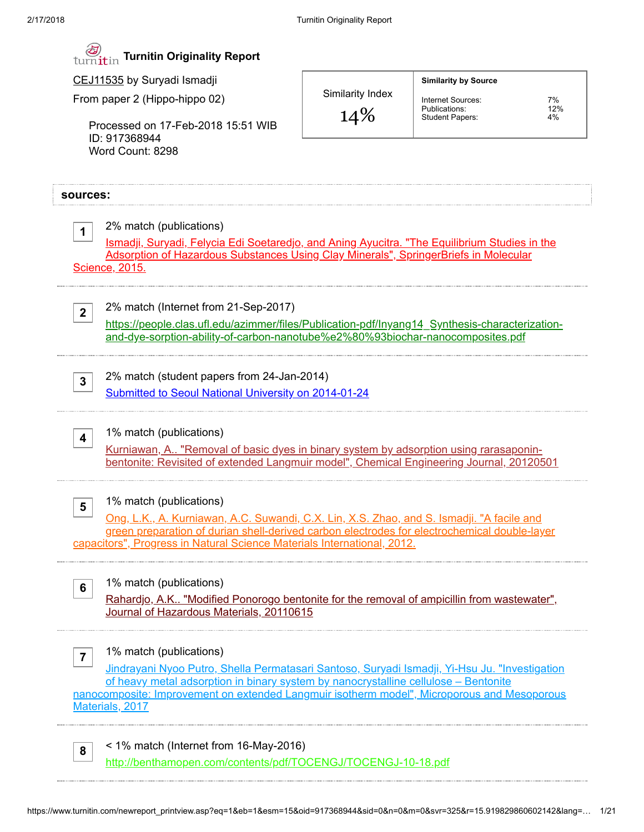| turnitin Turnitin Originality Report |  |  |  |
|--------------------------------------|--|--|--|
|--------------------------------------|--|--|--|

CEJ11535 by Suryadi Ismadji

From paper 2 (Hippo-hippo 02)

Processed on 17-Feb-2018 15:51 WIB ID: 917368944 Word Count: 8298

Similarity Index

14%

Internet Sources: 7%<br>Publications: 7%<br>Student Papers: 4% Publications: 12% Student Papers: 4%

Similarity by Source

| sources:                                                                                                                                                                                                                                                                                                                               |  |  |  |
|----------------------------------------------------------------------------------------------------------------------------------------------------------------------------------------------------------------------------------------------------------------------------------------------------------------------------------------|--|--|--|
| 2% match (publications)<br>$\mathbf 1$<br><u>Ismadji, Suryadi, Felycia Edi Soetaredjo, and Aning Ayucitra. "The Equilibrium Studies in the</u><br>Adsorption of Hazardous Substances Using Clay Minerals", SpringerBriefs in Molecular<br>Science, 2015.                                                                               |  |  |  |
| 2% match (Internet from 21-Sep-2017)<br>2 <sup>1</sup><br>https://people.clas.ufl.edu/azimmer/files/Publication-pdf/Inyang14_Synthesis-characterization-<br>and-dye-sorption-ability-of-carbon-nanotube%e2%80%93biochar-nanocomposites.pdf                                                                                             |  |  |  |
| 2% match (student papers from 24-Jan-2014)<br>3<br>Submitted to Seoul National University on 2014-01-24                                                                                                                                                                                                                                |  |  |  |
| 1% match (publications)<br>$\overline{\mathbf{4}}$<br><u>Kurniawan, A "Removal of basic dyes in binary system by adsorption using rarasaponin-</u><br>bentonite: Revisited of extended Langmuir model", Chemical Engineering Journal, 20120501                                                                                         |  |  |  |
| 1% match (publications)<br>5<br>Ong, L.K., A. Kurniawan, A.C. Suwandi, C.X. Lin, X.S. Zhao, and S. Ismadji. "A facile and<br>green preparation of durian shell-derived carbon electrodes for electrochemical double-layer<br>capacitors", Progress in Natural Science Materials International, 2012.                                   |  |  |  |
| 1% match (publications)<br>6<br>Rahardjo, A.K "Modified Ponorogo bentonite for the removal of ampicillin from wastewater",<br>Journal of Hazardous Materials, 20110615                                                                                                                                                                 |  |  |  |
| 1% match (publications)<br>7<br>Jindrayani Nyoo Putro, Shella Permatasari Santoso, Suryadi Ismadji, Yi-Hsu Ju. "Investigation<br>of heavy metal adsorption in binary system by nanocrystalline cellulose - Bentonite<br>nanocomposite: Improvement on extended Langmuir isotherm model", Microporous and Mesoporous<br>Materials, 2017 |  |  |  |
| < 1% match (Internet from 16-May-2016)<br>8                                                                                                                                                                                                                                                                                            |  |  |  |

<http://benthamopen.com/contents/pdf/TOCENGJ/TOCENGJ-10-18.pdf>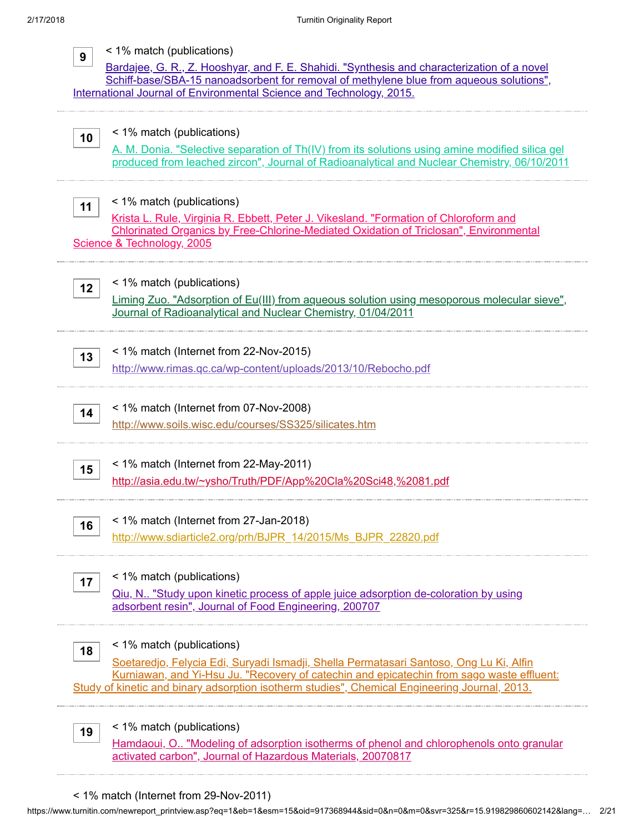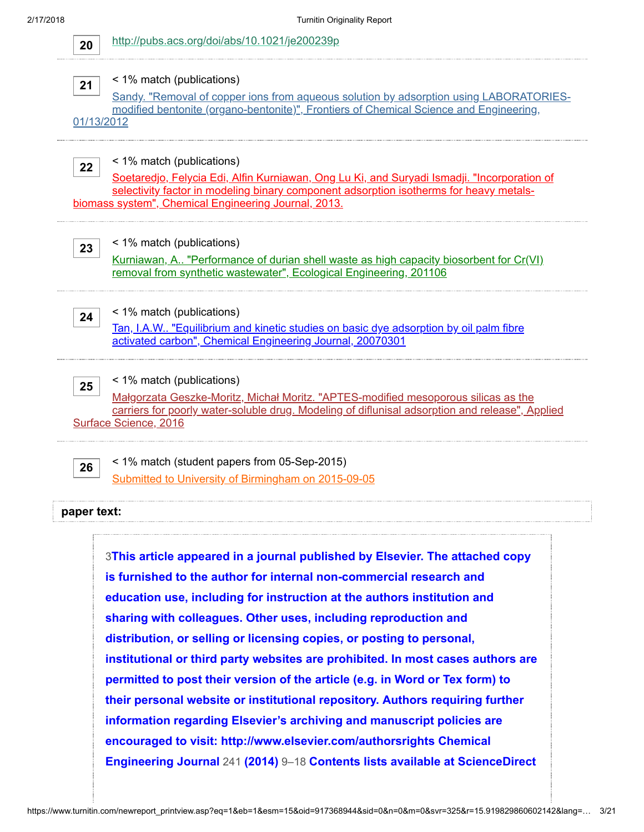20 <http://pubs.acs.org/doi/abs/10.1021/je200239p>

# 21

### < 1% match (publications)

[Sandy. "Removal of copper ions from aqueous solution by adsorption using LABORATORIES](http://dx.doi.org/10.1007/s11705-011-1160-6)modified bentonite (organo-bentonite)", Frontiers of Chemical Science and Engineering,

01/13/2012

22

### < 1% match (publications)

[Soetaredjo, Felycia Edi, Alfin Kurniawan, Ong Lu Ki, and Suryadi Ismadji. "Incorporation of](http://dx.doi.org/10.1016/j.cej.2012.12.077) selectivity factor in modeling binary component adsorption isotherms for heavy metalsbiomass system", Chemical Engineering Journal, 2013.

### < 1% match (publications)

[Kurniawan, A.. "Performance of durian shell waste as high capacity biosorbent for Cr\(VI\)](http://dx.doi.org/10.1016/j.ecoleng.2011.01.019) removal from synthetic wastewater", Ecological Engineering, 201106

24

23

< 1% match (publications)

[Tan, I.A.W.. "Equilibrium and kinetic studies on basic dye adsorption by oil palm fibre](http://dx.doi.org/10.1016/j.cej.2006.09.010) activated carbon", Chemical Engineering Journal, 20070301

# < 1% match (publications)

25 Małgorzata Geszke-Moritz, Michał Moritz. "APTES-modified mesoporous silicas as the [carriers for poorly water-soluble drug. Modeling of diflunisal adsorption and release", Applied](http://linkinghub.elsevier.com/retrieve/pii/S0169433216301519) Surface Science, 2016

26

< 1% match (student papers from 05-Sep-2015) [Submitted to University of Birmingham on 2015-09-05](https://www.turnitin.com/paperInfo.asp?r=10.6231824081643&svr=330&lang=en_us&oid=46689806&perc=0)

### paper text:

3This article appeared in a journal published by Elsevier. The attached copy is furnished to the author for internal non-commercial research and education use, including for instruction at the authors institution and sharing with colleagues. Other uses, including reproduction and distribution, or selling or licensing copies, or posting to personal, [institutional or third party websites are prohibited. In most cases authors are](javascript:openDSC(390346314, 1, ) permitted to post their version of the article (e.g. in Word or Tex form) to their personal website or institutional repository. Authors requiring further information regarding Elsevier's archiving and manuscript policies are encouraged to visit: http://www.elsevier.com/authorsrights Chemical Engineering Journal 241 (2014) 9–18 Contents lists available at ScienceDirect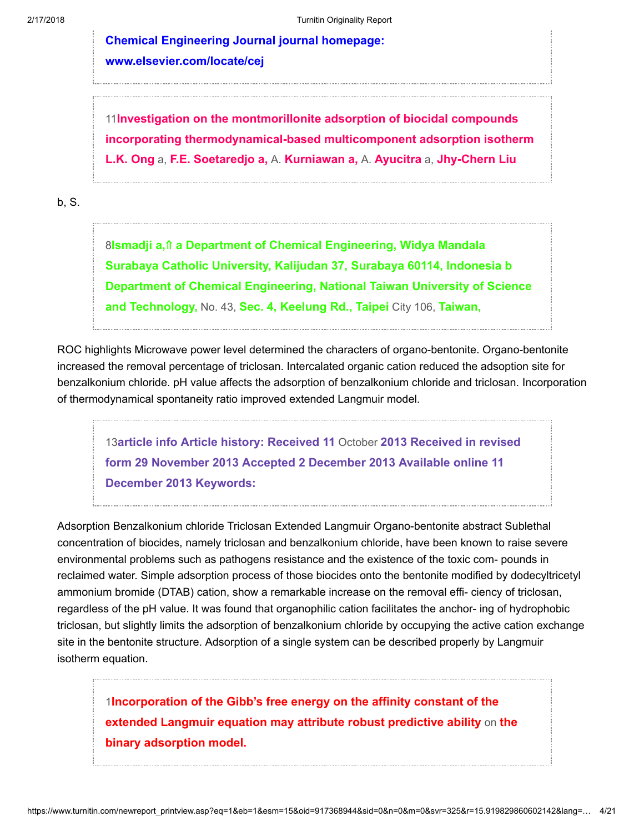[Chemical Engineering Journal journal homepage:](javascript:openDSC(390346314, 1, ) www.elsevier.com/locate/cej

11Investigation on the montmorillonite adsorption of biocidal compounds [incorporating thermodynamical-based multicomponent adsorption isotherm](javascript:openDSC(582166193, 37, ) L.K. Ong a, F.E. Soetaredjo a, A. Kurniawan a, A. Ayucitra a, Jhy-Chern Liu

b, S.

8Ismadji a, ↑ a Department of Chemical Engineering, Widya Mandala Surabaya Catholic University, Kalijudan 37, Surabaya 60114, Indonesia b [Department of Chemical Engineering, National Taiwan University of Science](javascript:openDSC(1525152512, 2474, ) and Technology, No. 43, Sec. 4, Keelung Rd., Taipei City 106, Taiwan,

ROC highlights Microwave power level determined the characters of organo-bentonite. Organo-bentonite increased the removal percentage of triclosan. Intercalated organic cation reduced the adsoption site for benzalkonium chloride. pH value affects the adsorption of benzalkonium chloride and triclosan. Incorporation of thermodynamical spontaneity ratio improved extended Langmuir model.

13article info Article history: Received 11 October 2013 Received in revised [form 29 November 2013 Accepted 2 December 2013 Available online 11](javascript:openDSC(3454191846, 2209, ) December 2013 Keywords:

Adsorption Benzalkonium chloride Triclosan Extended Langmuir Organo-bentonite abstract Sublethal concentration of biocides, namely triclosan and benzalkonium chloride, have been known to raise severe environmental problems such as pathogens resistance and the existence of the toxic com- pounds in reclaimed water. Simple adsorption process of those biocides onto the bentonite modified by dodecyltricetyl ammonium bromide (DTAB) cation, show a remarkable increase on the removal effi- ciency of triclosan, regardless of the pH value. It was found that organophilic cation facilitates the anchor- ing of hydrophobic triclosan, but slightly limits the adsorption of benzalkonium chloride by occupying the active cation exchange site in the bentonite structure. Adsorption of a single system can be described properly by Langmuir isotherm equation.

1[Incorporation of the Gibb's free energy on the affinity constant of the](javascript:openDSC(55700183, 37, ) extended Langmuir equation may attribute robust predictive ability on the binary adsorption model.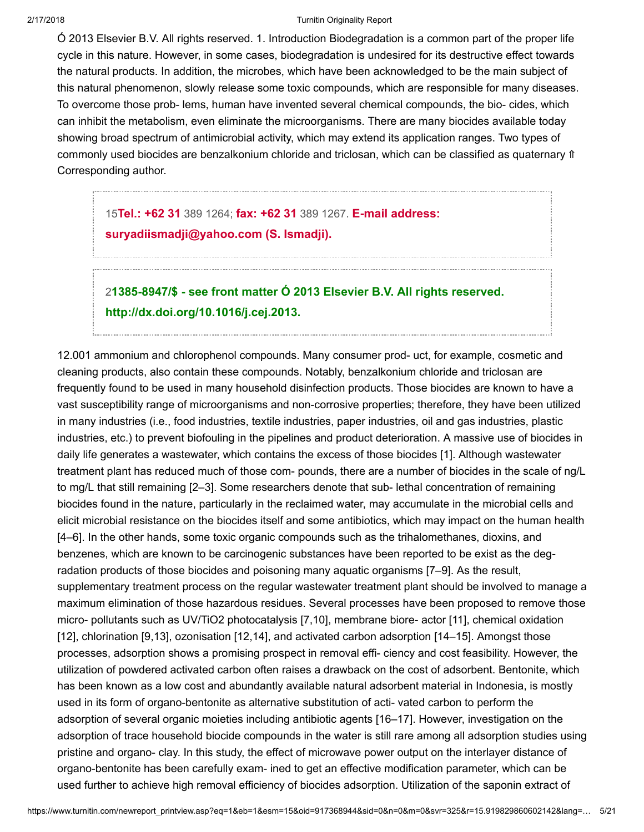Ó 2013 Elsevier B.V. All rights reserved. 1. Introduction Biodegradation is a common part of the proper life cycle in this nature. However, in some cases, biodegradation is undesired for its destructive effect towards the natural products. In addition, the microbes, which have been acknowledged to be the main subject of this natural phenomenon, slowly release some toxic compounds, which are responsible for many diseases. To overcome those prob- lems, human have invented several chemical compounds, the bio- cides, which can inhibit the metabolism, even eliminate the microorganisms. There are many biocides available today showing broad spectrum of antimicrobial activity, which may extend its application ranges. Two types of commonly used biocides are benzalkonium chloride and triclosan, which can be classified as quaternary ⇑ Corresponding author.

15Tel.: +62 31 389 1264; fax: +62 31 389 1267. E-mail address: [suryadiismadji@yahoo.com \(S. Ismadji\).](javascript:openDSC(3742349349, 772, )

# 2[1385-8947/\\$ - see front matter Ó 2013 Elsevier B.V. All rights reserved.](javascript:openDSC(2087738277, 2909, ) http://dx.doi.org/10.1016/j.cej.2013.

12.001 ammonium and chlorophenol compounds. Many consumer prod- uct, for example, cosmetic and cleaning products, also contain these compounds. Notably, benzalkonium chloride and triclosan are frequently found to be used in many household disinfection products. Those biocides are known to have a vast susceptibility range of microorganisms and non-corrosive properties; therefore, they have been utilized in many industries (i.e., food industries, textile industries, paper industries, oil and gas industries, plastic industries, etc.) to prevent biofouling in the pipelines and product deterioration. A massive use of biocides in daily life generates a wastewater, which contains the excess of those biocides [1]. Although wastewater treatment plant has reduced much of those com- pounds, there are a number of biocides in the scale of ng/L to mg/L that still remaining [2–3]. Some researchers denote that sub- lethal concentration of remaining biocides found in the nature, particularly in the reclaimed water, may accumulate in the microbial cells and elicit microbial resistance on the biocides itself and some antibiotics, which may impact on the human health [4–6]. In the other hands, some toxic organic compounds such as the trihalomethanes, dioxins, and benzenes, which are known to be carcinogenic substances have been reported to be exist as the degradation products of those biocides and poisoning many aquatic organisms [7–9]. As the result, supplementary treatment process on the regular wastewater treatment plant should be involved to manage a maximum elimination of those hazardous residues. Several processes have been proposed to remove those micro- pollutants such as UV/TiO2 photocatalysis [7,10], membrane biore- actor [11], chemical oxidation [12], chlorination [9,13], ozonisation [12,14], and activated carbon adsorption [14–15]. Amongst those processes, adsorption shows a promising prospect in removal effi- ciency and cost feasibility. However, the utilization of powdered activated carbon often raises a drawback on the cost of adsorbent. Bentonite, which has been known as a low cost and abundantly available natural adsorbent material in Indonesia, is mostly used in its form of organo-bentonite as alternative substitution of acti- vated carbon to perform the adsorption of several organic moieties including antibiotic agents [16–17]. However, investigation on the adsorption of trace household biocide compounds in the water is still rare among all adsorption studies using pristine and organo- clay. In this study, the effect of microwave power output on the interlayer distance of organo-bentonite has been carefully exam- ined to get an effective modification parameter, which can be used further to achieve high removal efficiency of biocides adsorption. Utilization of the saponin extract of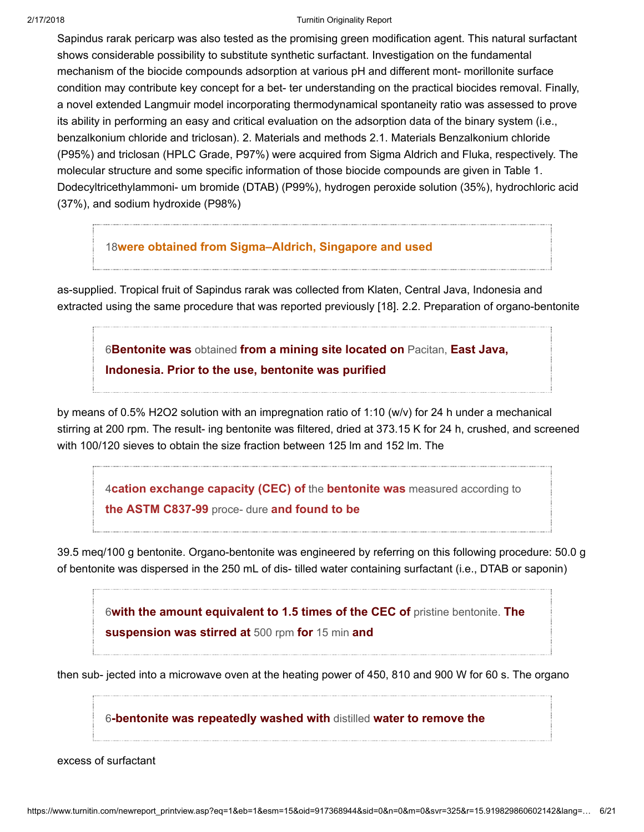Sapindus rarak pericarp was also tested as the promising green modification agent. This natural surfactant shows considerable possibility to substitute synthetic surfactant. Investigation on the fundamental mechanism of the biocide compounds adsorption at various pH and different mont- morillonite surface condition may contribute key concept for a bet- ter understanding on the practical biocides removal. Finally, a novel extended Langmuir model incorporating thermodynamical spontaneity ratio was assessed to prove its ability in performing an easy and critical evaluation on the adsorption data of the binary system (i.e., benzalkonium chloride and triclosan). 2. Materials and methods 2.1. Materials Benzalkonium chloride (P95%) and triclosan (HPLC Grade, P97%) were acquired from Sigma Aldrich and Fluka, respectively. The molecular structure and some specific information of those biocide compounds are given in Table 1. Dodecyltricethylammoni- um bromide (DTAB) (P99%), hydrogen peroxide solution (35%), hydrochloric acid (37%), and sodium hydroxide (P98%)

# 18[were obtained from Sigma–Aldrich, Singapore and used](javascript:openDSC(45993109, 37, )

as-supplied. Tropical fruit of Sapindus rarak was collected from Klaten, Central Java, Indonesia and extracted using the same procedure that was reported previously [18]. 2.2. Preparation of organo-bentonite

6Bentonite was obtained from a mining site located on Pacitan, East Java, [Indonesia. Prior to the use, bentonite was purified](javascript:openDSC(33658392, 37, )

by means of 0.5% H2O2 solution with an impregnation ratio of 1:10 (w/v) for 24 h under a mechanical stirring at 200 rpm. The result- ing bentonite was filtered, dried at 373.15 K for 24 h, crushed, and screened with 100/120 sieves to obtain the size fraction between 125 lm and 152 lm. The

4[cation exchange capacity \(CEC\) of](javascript:openDSC(38225094, 37, ) the bentonite was measured according to the ASTM C837-99 proce- dure and found to be

39.5 meq/100 g bentonite. Organo-bentonite was engineered by referring on this following procedure: 50.0 g of bentonite was dispersed in the 250 mL of dis- tilled water containing surfactant (i.e., DTAB or saponin)

6[with the amount equivalent to 1.5 times of the CEC of](javascript:openDSC(33658392, 37, ) pristine bentonite. The suspension was stirred at 500 rpm for 15 min and

then sub- jected into a microwave oven at the heating power of 450, 810 and 900 W for 60 s. The organo

6[-bentonite was repeatedly washed with](javascript:openDSC(33658392, 37, ) distilled water to remove the

excess of surfactant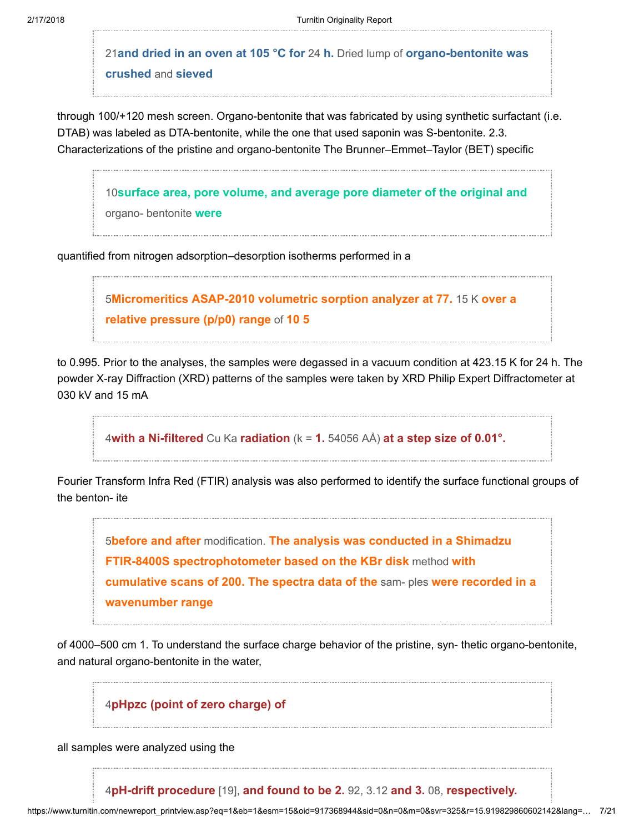21and dried in an oven at 105  $^{\circ}$ C for 24 h. Dried lump of organo-bentonite was crushed and sieved

through 100/+120 mesh screen. Organo-bentonite that was fabricated by using synthetic surfactant (i.e. DTAB) was labeled as DTA-bentonite, while the one that used saponin was S-bentonite. 2.3. Characterizations of the pristine and organo-bentonite The Brunner–Emmet–Taylor (BET) specific

10[surface area, pore volume, and average pore diameter of the original and](javascript:openDSC(34016929, 37, ) organo- bentonite were

quantified from nitrogen adsorption–desorption isotherms performed in a

5[Micromeritics ASAP-2010 volumetric sorption analyzer at 77.](javascript:openDSC(42189079, 37, ) 15 K over a relative pressure (p/p0) range of 10 5

to 0.995. Prior to the analyses, the samples were degassed in a vacuum condition at 423.15 K for 24 h. The powder X-ray Diffraction (XRD) patterns of the samples were taken by XRD Philip Expert Diffractometer at 030 kV and 15 mA

4with a Ni-filtered Cu Ka radiation  $(k = 1.54056 \text{ A}A)$  [at a step size of 0.01°.](javascript:openDSC(38225094, 37, )

Fourier Transform Infra Red (FTIR) analysis was also performed to identify the surface functional groups of the benton- ite

5before and after modification. The analysis was conducted in a Shimadzu [FTIR-8400S spectrophotometer based on the KBr disk](javascript:openDSC(42189079, 37, ) method with cumulative scans of 200. The spectra data of the sam- ples were recorded in a wavenumber range

of 4000–500 cm 1. To understand the surface charge behavior of the pristine, syn- thetic organo-bentonite, and natural organo-bentonite in the water,

4[pHpzc \(point of zero charge\) of](javascript:openDSC(38225094, 37, )

all samples were analyzed using the

4[pH-drift procedure](javascript:openDSC(38225094, 37, ) [19], and found to be 2. 92, 3.12 and 3. 08, respectively.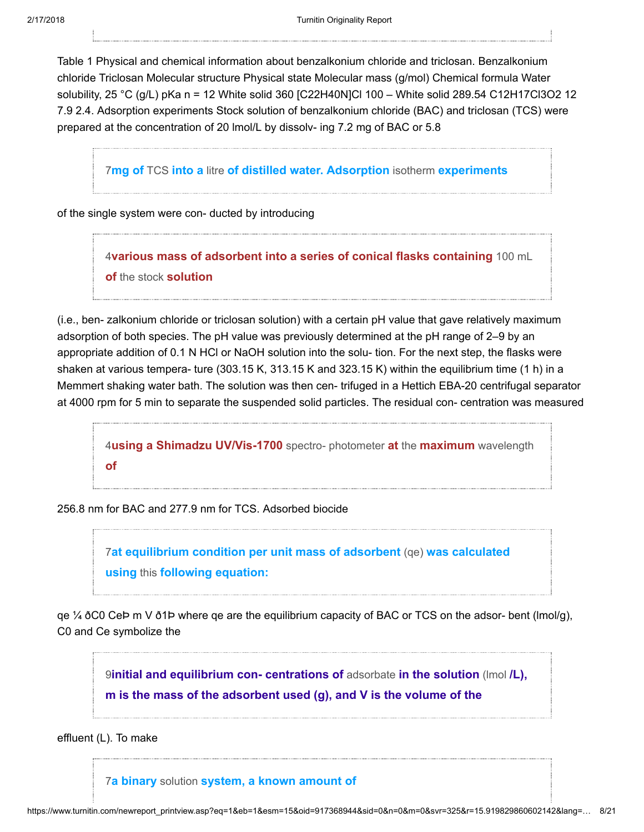Table 1 Physical and chemical information about benzalkonium chloride and triclosan. Benzalkonium chloride Triclosan Molecular structure Physical state Molecular mass (g/mol) Chemical formula Water solubility, 25 °C (g/L) pKa n = 12 White solid 360 [C22H40N]Cl 100 – White solid 289.54 C12H17Cl3O2 12 7.9 2.4. Adsorption experiments Stock solution of benzalkonium chloride (BAC) and triclosan (TCS) were prepared at the concentration of 20 lmol/L by dissolv- ing 7.2 mg of BAC or 5.8

7mg of TCS into a litre [of distilled water. Adsorption](javascript:openDSC(557666870, 37, ) isotherm experiments

of the single system were con- ducted by introducing

4[various mass of adsorbent into a series of conical flasks containing](javascript:openDSC(38225094, 37, ) 100 mL of the stock solution

(i.e., ben- zalkonium chloride or triclosan solution) with a certain pH value that gave relatively maximum adsorption of both species. The pH value was previously determined at the pH range of 2–9 by an appropriate addition of 0.1 N HCl or NaOH solution into the solu- tion. For the next step, the flasks were shaken at various tempera- ture (303.15 K, 313.15 K and 323.15 K) within the equilibrium time (1 h) in a Memmert shaking water bath. The solution was then cen- trifuged in a Hettich EBA-20 centrifugal separator at 4000 rpm for 5 min to separate the suspended solid particles. The residual con- centration was measured

4[using a Shimadzu UV/Vis-1700](javascript:openDSC(38225094, 37, ) spectro- photometer at the maximum wavelength of

256.8 nm for BAC and 277.9 nm for TCS. Adsorbed biocide

7[at equilibrium condition per unit mass of adsorbent](javascript:openDSC(557666870, 37, ) (qe) was calculated using this following equation:

qe  $\frac{1}{4}$  ðC0 CeÞ m V ð1Þ where qe are the equilibrium capacity of BAC or TCS on the adsor- bent (lmol/g), C0 and Ce symbolize the

9initial and equilibrium con- centrations of adsorbate in the solution (Imol /L), [m is the mass of the adsorbent used \(g\), and V is the volume of the](javascript:openDSC(53554147, 37, )

effluent (L). To make

7a binary solution [system, a known amount of](javascript:openDSC(557666870, 37, )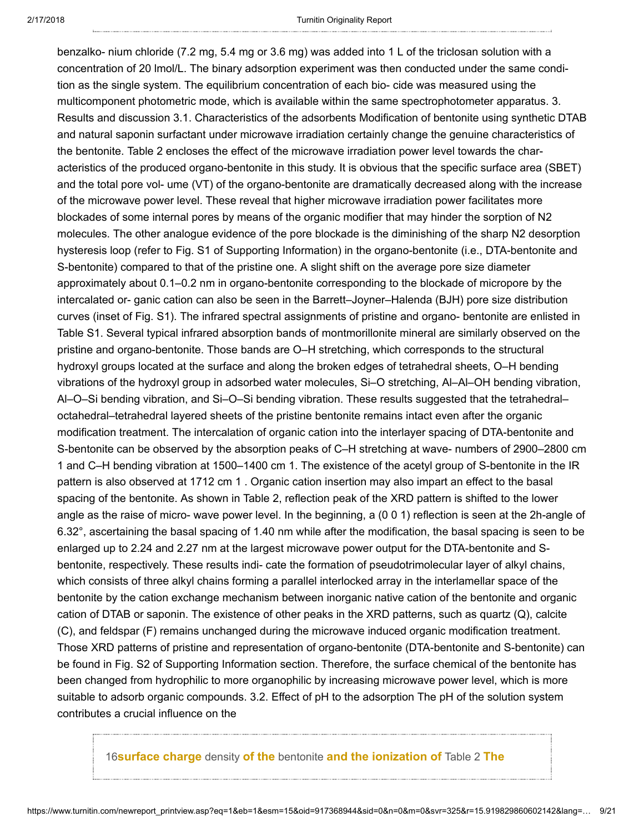benzalko- nium chloride (7.2 mg, 5.4 mg or 3.6 mg) was added into 1 L of the triclosan solution with a concentration of 20 lmol/L. The binary adsorption experiment was then conducted under the same condition as the single system. The equilibrium concentration of each bio- cide was measured using the multicomponent photometric mode, which is available within the same spectrophotometer apparatus. 3. Results and discussion 3.1. Characteristics of the adsorbents Modification of bentonite using synthetic DTAB and natural saponin surfactant under microwave irradiation certainly change the genuine characteristics of the bentonite. Table 2 encloses the effect of the microwave irradiation power level towards the characteristics of the produced organo-bentonite in this study. It is obvious that the specific surface area (SBET) and the total pore vol- ume (VT) of the organo-bentonite are dramatically decreased along with the increase of the microwave power level. These reveal that higher microwave irradiation power facilitates more blockades of some internal pores by means of the organic modifier that may hinder the sorption of N2 molecules. The other analogue evidence of the pore blockade is the diminishing of the sharp N2 desorption hysteresis loop (refer to Fig. S1 of Supporting Information) in the organo-bentonite (i.e., DTA-bentonite and S-bentonite) compared to that of the pristine one. A slight shift on the average pore size diameter approximately about 0.1–0.2 nm in organo-bentonite corresponding to the blockade of micropore by the intercalated or- ganic cation can also be seen in the Barrett–Joyner–Halenda (BJH) pore size distribution curves (inset of Fig. S1). The infrared spectral assignments of pristine and organo- bentonite are enlisted in Table S1. Several typical infrared absorption bands of montmorillonite mineral are similarly observed on the pristine and organo-bentonite. Those bands are O–H stretching, which corresponds to the structural hydroxyl groups located at the surface and along the broken edges of tetrahedral sheets, O–H bending vibrations of the hydroxyl group in adsorbed water molecules, Si–O stretching, Al–Al–OH bending vibration, Al–O–Si bending vibration, and Si–O–Si bending vibration. These results suggested that the tetrahedral– octahedral–tetrahedral layered sheets of the pristine bentonite remains intact even after the organic modification treatment. The intercalation of organic cation into the interlayer spacing of DTA-bentonite and S-bentonite can be observed by the absorption peaks of C–H stretching at wave- numbers of 2900–2800 cm 1 and C–H bending vibration at 1500–1400 cm 1. The existence of the acetyl group of S-bentonite in the IR pattern is also observed at 1712 cm 1 . Organic cation insertion may also impart an effect to the basal spacing of the bentonite. As shown in Table 2, reflection peak of the XRD pattern is shifted to the lower angle as the raise of micro- wave power level. In the beginning, a (0 0 1) reflection is seen at the 2h-angle of 6.32°, ascertaining the basal spacing of 1.40 nm while after the modification, the basal spacing is seen to be enlarged up to 2.24 and 2.27 nm at the largest microwave power output for the DTA-bentonite and Sbentonite, respectively. These results indi- cate the formation of pseudotrimolecular layer of alkyl chains, which consists of three alkyl chains forming a parallel interlocked array in the interlamellar space of the bentonite by the cation exchange mechanism between inorganic native cation of the bentonite and organic cation of DTAB or saponin. The existence of other peaks in the XRD patterns, such as quartz (Q), calcite (C), and feldspar (F) remains unchanged during the microwave induced organic modification treatment. Those XRD patterns of pristine and representation of organo-bentonite (DTA-bentonite and S-bentonite) can be found in Fig. S2 of Supporting Information section. Therefore, the surface chemical of the bentonite has been changed from hydrophilic to more organophilic by increasing microwave power level, which is more suitable to adsorb organic compounds. 3.2. Effect of pH to the adsorption The pH of the solution system contributes a crucial influence on the

16surface charge density of the bentonite [and the ionization of](javascript:openDSC(3620878379, 2909, ) Table 2 The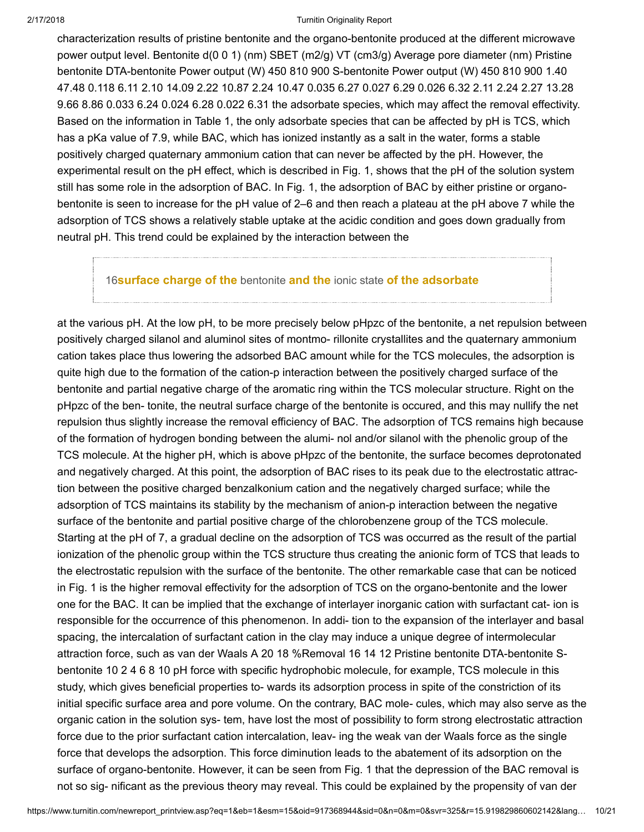characterization results of pristine bentonite and the organo-bentonite produced at the different microwave power output level. Bentonite d(0 0 1) (nm) SBET (m2/g) VT (cm3/g) Average pore diameter (nm) Pristine bentonite DTA-bentonite Power output (W) 450 810 900 S-bentonite Power output (W) 450 810 900 1.40 47.48 0.118 6.11 2.10 14.09 2.22 10.87 2.24 10.47 0.035 6.27 0.027 6.29 0.026 6.32 2.11 2.24 2.27 13.28 9.66 8.86 0.033 6.24 0.024 6.28 0.022 6.31 the adsorbate species, which may affect the removal effectivity. Based on the information in Table 1, the only adsorbate species that can be affected by pH is TCS, which has a pKa value of 7.9, while BAC, which has ionized instantly as a salt in the water, forms a stable positively charged quaternary ammonium cation that can never be affected by the pH. However, the experimental result on the pH effect, which is described in Fig. 1, shows that the pH of the solution system still has some role in the adsorption of BAC. In Fig. 1, the adsorption of BAC by either pristine or organobentonite is seen to increase for the pH value of 2–6 and then reach a plateau at the pH above 7 while the adsorption of TCS shows a relatively stable uptake at the acidic condition and goes down gradually from neutral pH. This trend could be explained by the interaction between the

# 16 **[surface charge of the](javascript:openDSC(3620878379, 2909, )** bentonite and the ionic state of the adsorbate

at the various pH. At the low pH, to be more precisely below pHpzc of the bentonite, a net repulsion between positively charged silanol and aluminol sites of montmo- rillonite crystallites and the quaternary ammonium cation takes place thus lowering the adsorbed BAC amount while for the TCS molecules, the adsorption is quite high due to the formation of the cation-p interaction between the positively charged surface of the bentonite and partial negative charge of the aromatic ring within the TCS molecular structure. Right on the pHpzc of the ben- tonite, the neutral surface charge of the bentonite is occured, and this may nullify the net repulsion thus slightly increase the removal efficiency of BAC. The adsorption of TCS remains high because of the formation of hydrogen bonding between the alumi- nol and/or silanol with the phenolic group of the TCS molecule. At the higher pH, which is above pHpzc of the bentonite, the surface becomes deprotonated and negatively charged. At this point, the adsorption of BAC rises to its peak due to the electrostatic attraction between the positive charged benzalkonium cation and the negatively charged surface; while the adsorption of TCS maintains its stability by the mechanism of anion-p interaction between the negative surface of the bentonite and partial positive charge of the chlorobenzene group of the TCS molecule. Starting at the pH of 7, a gradual decline on the adsorption of TCS was occurred as the result of the partial ionization of the phenolic group within the TCS structure thus creating the anionic form of TCS that leads to the electrostatic repulsion with the surface of the bentonite. The other remarkable case that can be noticed in Fig. 1 is the higher removal effectivity for the adsorption of TCS on the organo-bentonite and the lower one for the BAC. It can be implied that the exchange of interlayer inorganic cation with surfactant cat- ion is responsible for the occurrence of this phenomenon. In addi- tion to the expansion of the interlayer and basal spacing, the intercalation of surfactant cation in the clay may induce a unique degree of intermolecular attraction force, such as van der Waals A 20 18 %Removal 16 14 12 Pristine bentonite DTA-bentonite Sbentonite 10 2 4 6 8 10 pH force with specific hydrophobic molecule, for example, TCS molecule in this study, which gives beneficial properties to- wards its adsorption process in spite of the constriction of its initial specific surface area and pore volume. On the contrary, BAC mole- cules, which may also serve as the organic cation in the solution sys- tem, have lost the most of possibility to form strong electrostatic attraction force due to the prior surfactant cation intercalation, leav- ing the weak van der Waals force as the single force that develops the adsorption. This force diminution leads to the abatement of its adsorption on the surface of organo-bentonite. However, it can be seen from Fig. 1 that the depression of the BAC removal is not so sig- nificant as the previous theory may reveal. This could be explained by the propensity of van der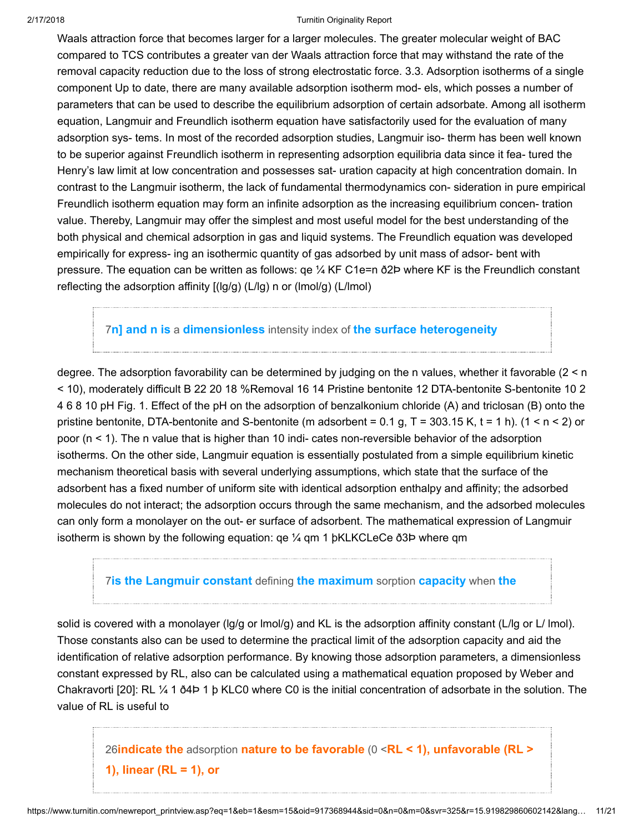Waals attraction force that becomes larger for a larger molecules. The greater molecular weight of BAC compared to TCS contributes a greater van der Waals attraction force that may withstand the rate of the removal capacity reduction due to the loss of strong electrostatic force. 3.3. Adsorption isotherms of a single component Up to date, there are many available adsorption isotherm mod- els, which posses a number of parameters that can be used to describe the equilibrium adsorption of certain adsorbate. Among all isotherm equation, Langmuir and Freundlich isotherm equation have satisfactorily used for the evaluation of many adsorption sys- tems. In most of the recorded adsorption studies, Langmuir iso- therm has been well known to be superior against Freundlich isotherm in representing adsorption equilibria data since it fea- tured the Henry's law limit at low concentration and possesses sat- uration capacity at high concentration domain. In contrast to the Langmuir isotherm, the lack of fundamental thermodynamics con- sideration in pure empirical Freundlich isotherm equation may form an infinite adsorption as the increasing equilibrium concen- tration value. Thereby, Langmuir may offer the simplest and most useful model for the best understanding of the both physical and chemical adsorption in gas and liquid systems. The Freundlich equation was developed empirically for express- ing an isothermic quantity of gas adsorbed by unit mass of adsor- bent with pressure. The equation can be written as follows:  $qe\frac{1}{4}$  KF C1e=n  $\delta$ 2P where KF is the Freundlich constant reflecting the adsorption affinity [(lg/g) (L/lg) n or (lmol/g) (L/lmol)

7n] and n is a dimensionless intensity index of [the surface heterogeneity](javascript:openDSC(557666870, 37, )

degree. The adsorption favorability can be determined by judging on the n values, whether it favorable (2 < n < 10), moderately difficult B 22 20 18 %Removal 16 14 Pristine bentonite 12 DTA-bentonite S-bentonite 10 2 4 6 8 10 pH Fig. 1. Effect of the pH on the adsorption of benzalkonium chloride (A) and triclosan (B) onto the pristine bentonite, DTA-bentonite and S-bentonite (m adsorbent =  $0.1$  g, T = 303.15 K, t = 1 h). (1 < n < 2) or poor  $(n < 1)$ . The n value that is higher than 10 indi- cates non-reversible behavior of the adsorption isotherms. On the other side, Langmuir equation is essentially postulated from a simple equilibrium kinetic mechanism theoretical basis with several underlying assumptions, which state that the surface of the adsorbent has a fixed number of uniform site with identical adsorption enthalpy and affinity; the adsorbed molecules do not interact; the adsorption occurs through the same mechanism, and the adsorbed molecules can only form a monolayer on the out- er surface of adsorbent. The mathematical expression of Langmuir isotherm is shown by the following equation: qe ¼ qm 1 þKLKCLeCe ð3Þ where qm

# **7[is the Langmuir constant](javascript:openDSC(557666870, 37, ) defining the maximum sorption capacity when the**

solid is covered with a monolayer (lg/g or lmol/g) and KL is the adsorption affinity constant (L/lg or L/ lmol). Those constants also can be used to determine the practical limit of the adsorption capacity and aid the identification of relative adsorption performance. By knowing those adsorption parameters, a dimensionless constant expressed by RL, also can be calculated using a mathematical equation proposed by Weber and Chakravorti [20]: RL ¼ 1 ð4Þ 1 þ KLC0 where C0 is the initial concentration of adsorbate in the solution. The value of RL is useful to

26indicate the adsorption nature to be favorable  $(0 \le R L \le 1)$ , unfavorable  $(R L > 1)$ 1), linear ( $RL = 1$ ), or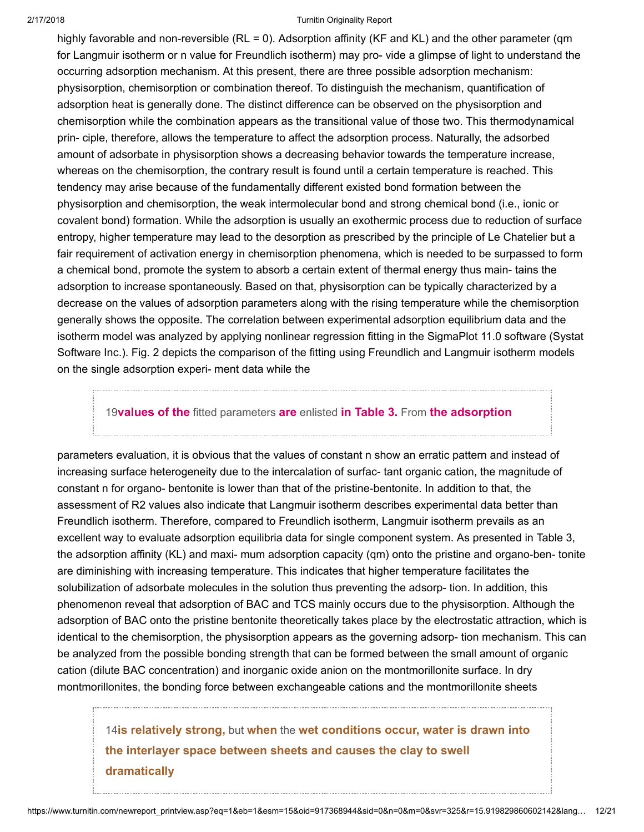highly favorable and non-reversible (RL = 0). Adsorption affinity (KF and KL) and the other parameter (qm for Langmuir isotherm or n value for Freundlich isotherm) may pro- vide a glimpse of light to understand the occurring adsorption mechanism. At this present, there are three possible adsorption mechanism: physisorption, chemisorption or combination thereof. To distinguish the mechanism, quantification of adsorption heat is generally done. The distinct difference can be observed on the physisorption and chemisorption while the combination appears as the transitional value of those two. This thermodynamical prin- ciple, therefore, allows the temperature to affect the adsorption process. Naturally, the adsorbed amount of adsorbate in physisorption shows a decreasing behavior towards the temperature increase, whereas on the chemisorption, the contrary result is found until a certain temperature is reached. This tendency may arise because of the fundamentally different existed bond formation between the physisorption and chemisorption, the weak intermolecular bond and strong chemical bond (i.e., ionic or covalent bond) formation. While the adsorption is usually an exothermic process due to reduction of surface entropy, higher temperature may lead to the desorption as prescribed by the principle of Le Chatelier but a fair requirement of activation energy in chemisorption phenomena, which is needed to be surpassed to form a chemical bond, promote the system to absorb a certain extent of thermal energy thus main- tains the adsorption to increase spontaneously. Based on that, physisorption can be typically characterized by a decrease on the values of adsorption parameters along with the rising temperature while the chemisorption generally shows the opposite. The correlation between experimental adsorption equilibrium data and the isotherm model was analyzed by applying nonlinear regression fitting in the SigmaPlot 11.0 software (Systat Software Inc.). Fig. 2 depicts the comparison of the fitting using Freundlich and Langmuir isotherm models on the single adsorption experi- ment data while the

## 19values of the [fitted parameters](javascript:openDSC(3080498, 37, ) are enlisted in Table 3. From the adsorption

parameters evaluation, it is obvious that the values of constant n show an erratic pattern and instead of increasing surface heterogeneity due to the intercalation of surfac- tant organic cation, the magnitude of constant n for organo- bentonite is lower than that of the pristine-bentonite. In addition to that, the assessment of R2 values also indicate that Langmuir isotherm describes experimental data better than Freundlich isotherm. Therefore, compared to Freundlich isotherm, Langmuir isotherm prevails as an excellent way to evaluate adsorption equilibria data for single component system. As presented in Table 3, the adsorption affinity (KL) and maxi- mum adsorption capacity (qm) onto the pristine and organo-ben- tonite are diminishing with increasing temperature. This indicates that higher temperature facilitates the solubilization of adsorbate molecules in the solution thus preventing the adsorp- tion. In addition, this phenomenon reveal that adsorption of BAC and TCS mainly occurs due to the physisorption. Although the adsorption of BAC onto the pristine bentonite theoretically takes place by the electrostatic attraction, which is identical to the chemisorption, the physisorption appears as the governing adsorp- tion mechanism. This can be analyzed from the possible bonding strength that can be formed between the small amount of organic cation (dilute BAC concentration) and inorganic oxide anion on the montmorillonite surface. In dry montmorillonites, the bonding force between exchangeable cations and the montmorillonite sheets

14is relatively strong, but when the wet conditions occur, water is drawn into [the interlayer space between sheets and causes the clay to swell](javascript:openDSC(1592782850, 43, ) dramatically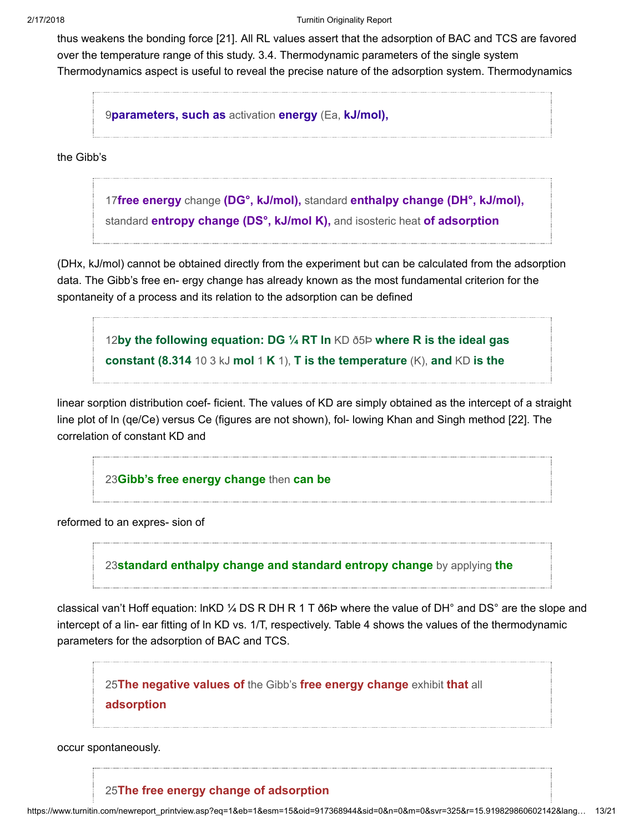thus weakens the bonding force [21]. All RL values assert that the adsorption of BAC and TCS are favored over the temperature range of this study. 3.4. Thermodynamic parameters of the single system Thermodynamics aspect is useful to reveal the precise nature of the adsorption system. Thermodynamics

9[parameters, such as](javascript:openDSC(53554147, 37, ) activation energy (Ea, kJ/mol),

the Gibb's

17free energy change (DG°, kJ/mol), standard enthalpy change (DH°, kJ/mol), standard **entropy change (DS°, kJ/mol K)**, and isosteric heat of adsorption

(DHx, kJ/mol) cannot be obtained directly from the experiment but can be calculated from the adsorption data. The Gibb's free en- ergy change has already known as the most fundamental criterion for the spontaneity of a process and its relation to the adsorption can be defined

12[by the following equation: DG ¼ RT ln](javascript:openDSC(32780108, 37, ) KD ð5Þ where R is the ideal gas constant (8.314 10 3 kJ mol 1 K 1), T is the temperature  $(K)$ , and KD is the

linear sorption distribution coef- ficient. The values of KD are simply obtained as the intercept of a straight line plot of ln (qe/Ce) versus Ce (figures are not shown), fol- lowing Khan and Singh method [22]. The correlation of constant KD and

23[Gibb's free energy change](javascript:openDSC(33627247, 37, ) then can be

reformed to an expres- sion of

23[standard enthalpy change and standard entropy change](javascript:openDSC(33627247, 37, ) by applying the

classical van't Hoff equation: lnKD  $\frac{1}{4}$  DS R DH R 1 T  $\delta$ 6P where the value of DH° and DS° are the slope and intercept of a lin- ear fitting of ln KD vs. 1/T, respectively. Table 4 shows the values of the thermodynamic parameters for the adsorption of BAC and TCS.

25[The negative values of](javascript:openDSC(557590632, 37, ) the Gibb's free energy change exhibit that all

adsorption

occur spontaneously.

# 25[The free energy change of adsorption](javascript:openDSC(557590632, 37, )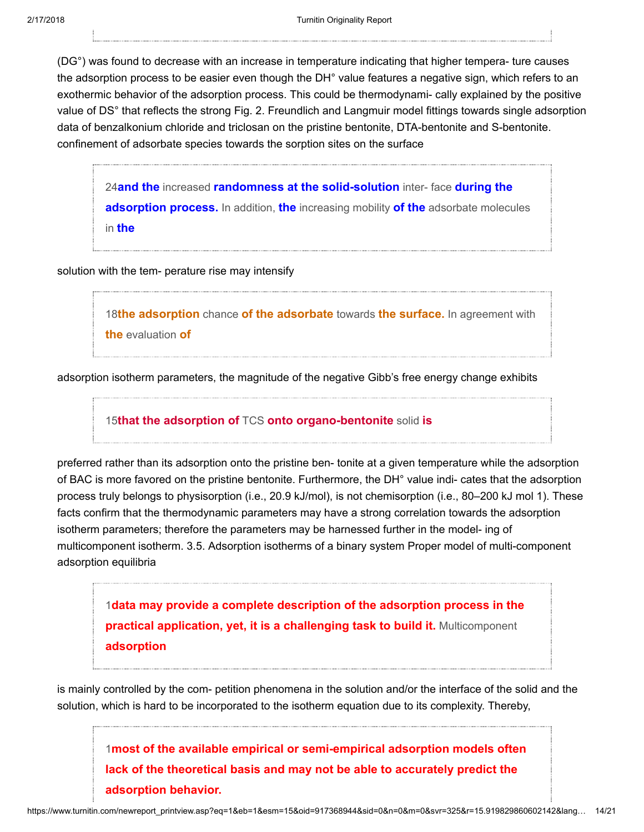(DG°) was found to decrease with an increase in temperature indicating that higher tempera- ture causes the adsorption process to be easier even though the DH° value features a negative sign, which refers to an exothermic behavior of the adsorption process. This could be thermodynami- cally explained by the positive value of DS° that reflects the strong Fig. 2. Freundlich and Langmuir model fittings towards single adsorption data of benzalkonium chloride and triclosan on the pristine bentonite, DTA-bentonite and S-bentonite. confinement of adsorbate species towards the sorption sites on the surface

24and the increased [randomness at the solid-solution](javascript:openDSC(2888317, 37, ) inter-face during the adsorption process. In addition, the increasing mobility of the adsorbate molecules in the

solution with the tem- perature rise may intensify

18the adsorption chance [of the adsorbate](javascript:openDSC(45993109, 37, ) towards the surface. In agreement with the evaluation of

adsorption isotherm parameters, the magnitude of the negative Gibb's free energy change exhibits

15that the adsorption of TCS [onto organo-bentonite](javascript:openDSC(3742349349, 772, ) solid is

preferred rather than its adsorption onto the pristine ben- tonite at a given temperature while the adsorption of BAC is more favored on the pristine bentonite. Furthermore, the DH° value indi- cates that the adsorption process truly belongs to physisorption (i.e., 20.9 kJ/mol), is not chemisorption (i.e., 80–200 kJ mol 1). These facts confirm that the thermodynamic parameters may have a strong correlation towards the adsorption isotherm parameters; therefore the parameters may be harnessed further in the model- ing of multicomponent isotherm. 3.5. Adsorption isotherms of a binary system Proper model of multi-component adsorption equilibria

1[data may provide a complete description of the adsorption process in the](javascript:openDSC(55700183, 37, ) **practical application, yet, it is a challenging task to build it.** Multicomponent adsorption

is mainly controlled by the com- petition phenomena in the solution and/or the interface of the solid and the solution, which is hard to be incorporated to the isotherm equation due to its complexity. Thereby,

1[most of the available empirical or semi-empirical adsorption models often](javascript:openDSC(55700183, 37, ) lack of the theoretical basis and may not be able to accurately predict the adsorption behavior.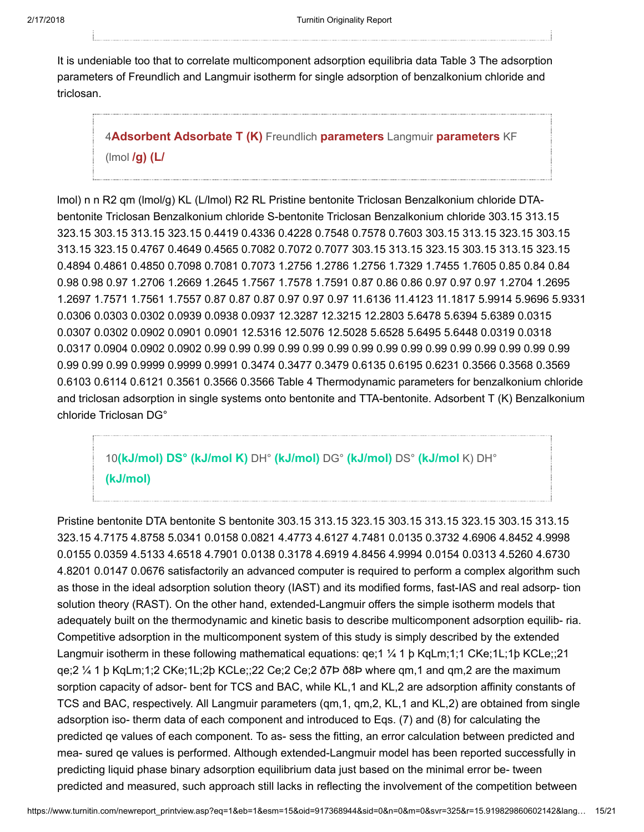It is undeniable too that to correlate multicomponent adsorption equilibria data Table 3 The adsorption parameters of Freundlich and Langmuir isotherm for single adsorption of benzalkonium chloride and triclosan.

4[Adsorbent Adsorbate T \(K\)](javascript:openDSC(38225094, 37, ) Freundlich parameters Langmuir parameters KF ( $|$ mol  $/g$ ) ( $L$ 

lmol) n n R2 qm (lmol/g) KL (L/lmol) R2 RL Pristine bentonite Triclosan Benzalkonium chloride DTAbentonite Triclosan Benzalkonium chloride S-bentonite Triclosan Benzalkonium chloride 303.15 313.15 323.15 303.15 313.15 323.15 0.4419 0.4336 0.4228 0.7548 0.7578 0.7603 303.15 313.15 323.15 303.15 313.15 323.15 0.4767 0.4649 0.4565 0.7082 0.7072 0.7077 303.15 313.15 323.15 303.15 313.15 323.15 0.4894 0.4861 0.4850 0.7098 0.7081 0.7073 1.2756 1.2786 1.2756 1.7329 1.7455 1.7605 0.85 0.84 0.84 0.98 0.98 0.97 1.2706 1.2669 1.2645 1.7567 1.7578 1.7591 0.87 0.86 0.86 0.97 0.97 0.97 1.2704 1.2695 1.2697 1.7571 1.7561 1.7557 0.87 0.87 0.87 0.97 0.97 0.97 11.6136 11.4123 11.1817 5.9914 5.9696 5.9331 0.0306 0.0303 0.0302 0.0939 0.0938 0.0937 12.3287 12.3215 12.2803 5.6478 5.6394 5.6389 0.0315 0.0307 0.0302 0.0902 0.0901 0.0901 12.5316 12.5076 12.5028 5.6528 5.6495 5.6448 0.0319 0.0318 0.0317 0.0904 0.0902 0.0902 0.99 0.99 0.99 0.99 0.99 0.99 0.99 0.99 0.99 0.99 0.99 0.99 0.99 0.99 0.99 0.99 0.99 0.99 0.9999 0.9999 0.9991 0.3474 0.3477 0.3479 0.6135 0.6195 0.6231 0.3566 0.3568 0.3569 0.6103 0.6114 0.6121 0.3561 0.3566 0.3566 Table 4 Thermodynamic parameters for benzalkonium chloride and triclosan adsorption in single systems onto bentonite and TTA-bentonite. Adsorbent T (K) Benzalkonium chloride Triclosan DG°

10[\(kJ/mol\) DS° \(kJ/mol K\)](javascript:openDSC(34016929, 37, ) DH° (kJ/mol) DG° (kJ/mol) DS° (kJ/mol K) DH° (kJ/mol)

Pristine bentonite DTA bentonite S bentonite 303.15 313.15 323.15 303.15 313.15 323.15 303.15 313.15 323.15 4.7175 4.8758 5.0341 0.0158 0.0821 4.4773 4.6127 4.7481 0.0135 0.3732 4.6906 4.8452 4.9998 0.0155 0.0359 4.5133 4.6518 4.7901 0.0138 0.3178 4.6919 4.8456 4.9994 0.0154 0.0313 4.5260 4.6730 4.8201 0.0147 0.0676 satisfactorily an advanced computer is required to perform a complex algorithm such as those in the ideal adsorption solution theory (IAST) and its modified forms, fast-IAS and real adsorp- tion solution theory (RAST). On the other hand, extended-Langmuir offers the simple isotherm models that adequately built on the thermodynamic and kinetic basis to describe multicomponent adsorption equilib- ria. Competitive adsorption in the multicomponent system of this study is simply described by the extended Langmuir isotherm in these following mathematical equations: qe;1 ¼ 1 þ KqLm;1;1 CKe;1L;1þ KCLe;;21 qe;2 ¼ 1 þ KqLm;1;2 CKe;1L;2þ KCLe;;22 Ce;2 Ce;2 ð7Þ ð8Þ where qm,1 and qm,2 are the maximum sorption capacity of adsor- bent for TCS and BAC, while KL,1 and KL,2 are adsorption affinity constants of TCS and BAC, respectively. All Langmuir parameters (qm,1, qm,2, KL,1 and KL,2) are obtained from single adsorption iso- therm data of each component and introduced to Eqs. (7) and (8) for calculating the predicted qe values of each component. To as- sess the fitting, an error calculation between predicted and mea- sured qe values is performed. Although extended-Langmuir model has been reported successfully in predicting liquid phase binary adsorption equilibrium data just based on the minimal error be- tween predicted and measured, such approach still lacks in reflecting the involvement of the competition between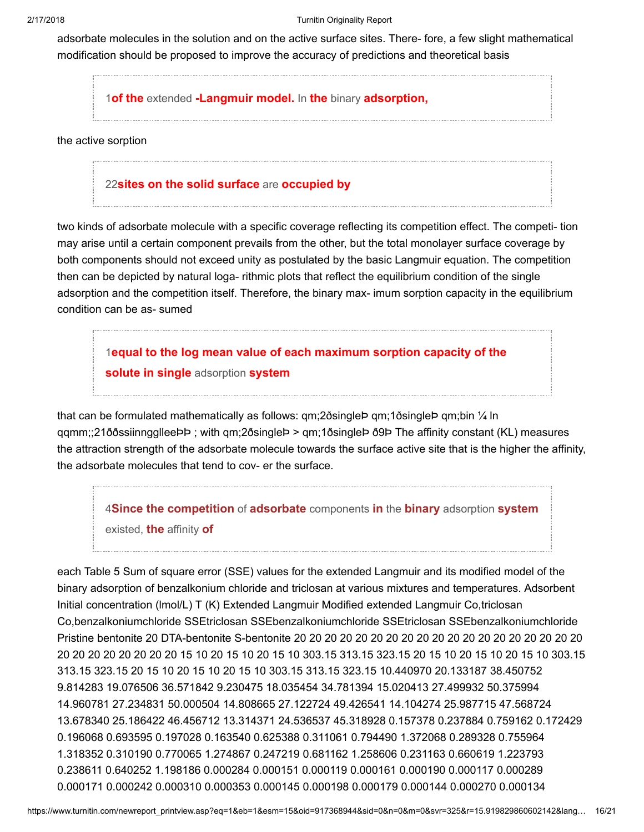adsorbate molecules in the solution and on the active surface sites. There- fore, a few slight mathematical modification should be proposed to improve the accuracy of predictions and theoretical basis

1of the extended [-Langmuir model.](javascript:openDSC(55700183, 37, ) In the binary adsorption,

the active sorption

## 22[sites on the solid surface](javascript:openDSC(42724282, 37, ) are occupied by

two kinds of adsorbate molecule with a specific coverage reflecting its competition effect. The competi- tion may arise until a certain component prevails from the other, but the total monolayer surface coverage by both components should not exceed unity as postulated by the basic Langmuir equation. The competition then can be depicted by natural loga- rithmic plots that reflect the equilibrium condition of the single adsorption and the competition itself. Therefore, the binary max- imum sorption capacity in the equilibrium condition can be as- sumed

1[equal to the log mean value of each maximum sorption capacity of the](javascript:openDSC(55700183, 37, ) solute in single adsorption system

that can be formulated mathematically as follows: qm;2ðsingleÞ qm;1ðsingleÞ qm;bin ¼ ln qqmm;;21ððssiinngglleeÞÞ ; with qm;2ðsingleÞ > qm;1ðsingleÞ ð9Þ The affinity constant (KL) measures the attraction strength of the adsorbate molecule towards the surface active site that is the higher the affinity, the adsorbate molecules that tend to cov- er the surface.

4[Since the competition](javascript:openDSC(38225094, 37, ) of adsorbate components in the binary adsorption system existed, the affinity of

each Table 5 Sum of square error (SSE) values for the extended Langmuir and its modified model of the binary adsorption of benzalkonium chloride and triclosan at various mixtures and temperatures. Adsorbent Initial concentration (lmol/L) T (K) Extended Langmuir Modified extended Langmuir Co,triclosan Co,benzalkoniumchloride SSEtriclosan SSEbenzalkoniumchloride SSEtriclosan SSEbenzalkoniumchloride Pristine bentonite 20 DTA-bentonite S-bentonite 20 20 20 20 20 20 20 20 20 20 20 20 20 20 20 20 20 20 20 20 20 20 20 20 20 20 20 15 10 20 15 10 20 15 10 303.15 313.15 323.15 20 15 10 20 15 10 20 15 10 303.15 313.15 323.15 20 15 10 20 15 10 20 15 10 303.15 313.15 323.15 10.440970 20.133187 38.450752 9.814283 19.076506 36.571842 9.230475 18.035454 34.781394 15.020413 27.499932 50.375994 14.960781 27.234831 50.000504 14.808665 27.122724 49.426541 14.104274 25.987715 47.568724 13.678340 25.186422 46.456712 13.314371 24.536537 45.318928 0.157378 0.237884 0.759162 0.172429 0.196068 0.693595 0.197028 0.163540 0.625388 0.311061 0.794490 1.372068 0.289328 0.755964 1.318352 0.310190 0.770065 1.274867 0.247219 0.681162 1.258606 0.231163 0.660619 1.223793 0.238611 0.640252 1.198186 0.000284 0.000151 0.000119 0.000161 0.000190 0.000117 0.000289 0.000171 0.000242 0.000310 0.000353 0.000145 0.000198 0.000179 0.000144 0.000270 0.000134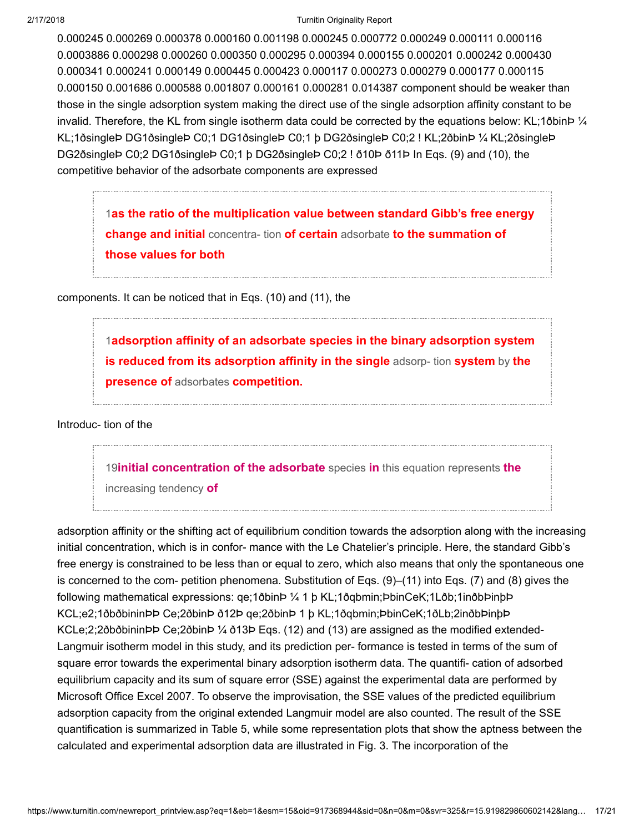0.000245 0.000269 0.000378 0.000160 0.001198 0.000245 0.000772 0.000249 0.000111 0.000116 0.0003886 0.000298 0.000260 0.000350 0.000295 0.000394 0.000155 0.000201 0.000242 0.000430 0.000341 0.000241 0.000149 0.000445 0.000423 0.000117 0.000273 0.000279 0.000177 0.000115 0.000150 0.001686 0.000588 0.001807 0.000161 0.000281 0.014387 component should be weaker than those in the single adsorption system making the direct use of the single adsorption affinity constant to be invalid. Therefore, the KL from single isotherm data could be corrected by the equations below: KL;1ðbinÞ ¼ KL;1ðsingleÞ DG1ðsingleÞ C0;1 DG1ðsingleÞ C0;1 þ DG2ðsingleÞ C0;2 ! KL;2ðbinÞ ¼ KL;2ðsingleÞ DG2ðsingleÞ C0;2 DG1ðsingleÞ C0;1 þ DG2ðsingleÞ C0;2 ! ð10Þ ð11Þ In Eqs. (9) and (10), the competitive behavior of the adsorbate components are expressed

1[as the ratio of the multiplication value between standard Gibb's free energy](javascript:openDSC(55700183, 37, ) change and initial concentra- tion of certain adsorbate to the summation of those values for both

components. It can be noticed that in Eqs. (10) and (11), the

1[adsorption affinity of an adsorbate species in the binary adsorption system](javascript:openDSC(55700183, 37, ) is reduced from its adsorption affinity in the single adsorp-tion system by the presence of adsorbates competition.

Introduc- tion of the

19**[initial concentration of the adsorbate](javascript:openDSC(3080498, 37, )** species in this equation represents the increasing tendency of

adsorption affinity or the shifting act of equilibrium condition towards the adsorption along with the increasing initial concentration, which is in confor- mance with the Le Chatelier's principle. Here, the standard Gibb's free energy is constrained to be less than or equal to zero, which also means that only the spontaneous one is concerned to the com- petition phenomena. Substitution of Eqs. (9)–(11) into Eqs. (7) and (8) gives the following mathematical expressions: qe;1ðbinÞ ¼ 1 þ KL;1ðqbmin;ÞbinCeK;1Lðb;1inðbÞinþÞ KCL;e2;1ðbðbininÞÞ Ce;2ðbinÞ ð12Þ qe;2ðbinÞ 1 þ KL;1ðqbmin;ÞbinCeK;1ðLb;2inðbÞinþÞ KCLe;2;2ðbðbininÞÞ Ce;2ðbinÞ ¼ ð13Þ Eqs. (12) and (13) are assigned as the modified extended-Langmuir isotherm model in this study, and its prediction per- formance is tested in terms of the sum of square error towards the experimental binary adsorption isotherm data. The quantifi- cation of adsorbed equilibrium capacity and its sum of square error (SSE) against the experimental data are performed by Microsoft Office Excel 2007. To observe the improvisation, the SSE values of the predicted equilibrium adsorption capacity from the original extended Langmuir model are also counted. The result of the SSE quantification is summarized in Table 5, while some representation plots that show the aptness between the calculated and experimental adsorption data are illustrated in Fig. 3. The incorporation of the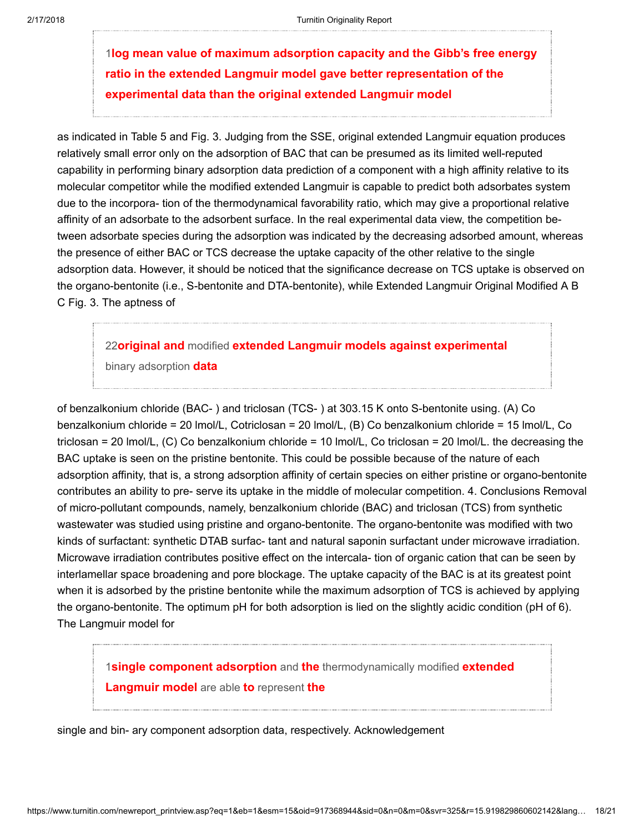1[log mean value of maximum adsorption capacity and the Gibb's free energy](javascript:openDSC(55700183, 37, ) ratio in the extended Langmuir model gave better representation of the experimental data than the original extended Langmuir model

as indicated in Table 5 and Fig. 3. Judging from the SSE, original extended Langmuir equation produces relatively small error only on the adsorption of BAC that can be presumed as its limited well-reputed capability in performing binary adsorption data prediction of a component with a high affinity relative to its molecular competitor while the modified extended Langmuir is capable to predict both adsorbates system due to the incorpora- tion of the thermodynamical favorability ratio, which may give a proportional relative affinity of an adsorbate to the adsorbent surface. In the real experimental data view, the competition between adsorbate species during the adsorption was indicated by the decreasing adsorbed amount, whereas the presence of either BAC or TCS decrease the uptake capacity of the other relative to the single adsorption data. However, it should be noticed that the significance decrease on TCS uptake is observed on the organo-bentonite (i.e., S-bentonite and DTA-bentonite), while Extended Langmuir Original Modified A B C Fig. 3. The aptness of

22original and modified [extended Langmuir models against experimental](javascript:openDSC(42724282, 37, ) binary adsorption **data** 

of benzalkonium chloride (BAC- ) and triclosan (TCS- ) at 303.15 K onto S-bentonite using. (A) Co benzalkonium chloride = 20 lmol/L, Cotriclosan = 20 lmol/L, (B) Co benzalkonium chloride = 15 lmol/L, Co triclosan = 20 lmol/L, (C) Co benzalkonium chloride = 10 lmol/L, Co triclosan = 20 lmol/L. the decreasing the BAC uptake is seen on the pristine bentonite. This could be possible because of the nature of each adsorption affinity, that is, a strong adsorption affinity of certain species on either pristine or organo-bentonite contributes an ability to pre- serve its uptake in the middle of molecular competition. 4. Conclusions Removal of micro-pollutant compounds, namely, benzalkonium chloride (BAC) and triclosan (TCS) from synthetic wastewater was studied using pristine and organo-bentonite. The organo-bentonite was modified with two kinds of surfactant: synthetic DTAB surfac- tant and natural saponin surfactant under microwave irradiation. Microwave irradiation contributes positive effect on the intercala- tion of organic cation that can be seen by interlamellar space broadening and pore blockage. The uptake capacity of the BAC is at its greatest point when it is adsorbed by the pristine bentonite while the maximum adsorption of TCS is achieved by applying the organo-bentonite. The optimum pH for both adsorption is lied on the slightly acidic condition (pH of 6). The Langmuir model for

1[single component adsorption](javascript:openDSC(55700183, 37, ) and the thermodynamically modified extended Langmuir model are able to represent the

single and bin- ary component adsorption data, respectively. Acknowledgement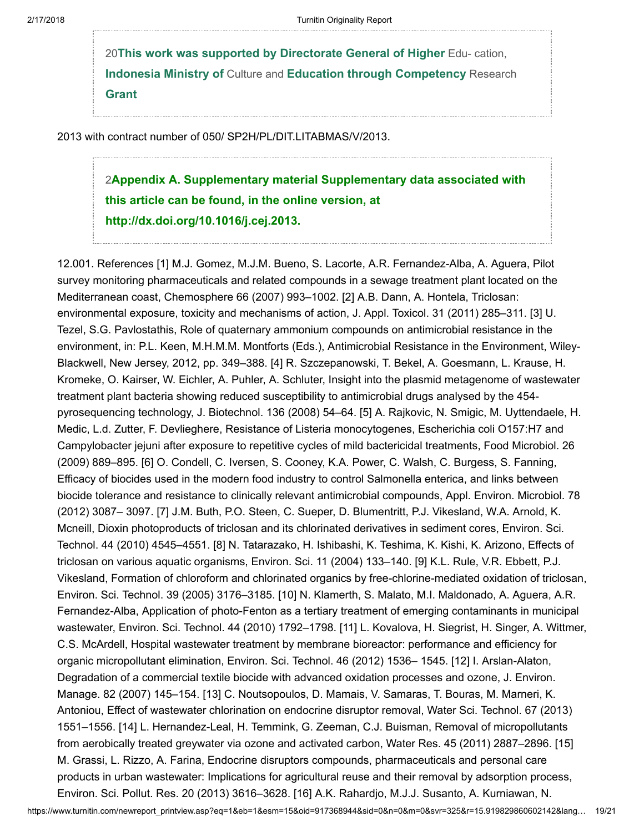20[This work was supported by Directorate General of Higher](javascript:openDSC(2809684191, 943, ) Edu- cation, Indonesia Ministry of Culture and Education through Competency Research Grant

2013 with contract number of 050/ SP2H/PL/DIT.LITABMAS/V/2013.

2[Appendix A. Supplementary material Supplementary data associated with](javascript:openDSC(2087738277, 2909, ) this article can be found, in the online version, at http://dx.doi.org/10.1016/j.cej.2013.

12.001. References [1] M.J. Gomez, M.J.M. Bueno, S. Lacorte, A.R. Fernandez-Alba, A. Aguera, Pilot survey monitoring pharmaceuticals and related compounds in a sewage treatment plant located on the Mediterranean coast, Chemosphere 66 (2007) 993–1002. [2] A.B. Dann, A. Hontela, Triclosan: environmental exposure, toxicity and mechanisms of action, J. Appl. Toxicol. 31 (2011) 285–311. [3] U. Tezel, S.G. Pavlostathis, Role of quaternary ammonium compounds on antimicrobial resistance in the environment, in: P.L. Keen, M.H.M.M. Montforts (Eds.), Antimicrobial Resistance in the Environment, Wiley-Blackwell, New Jersey, 2012, pp. 349–388. [4] R. Szczepanowski, T. Bekel, A. Goesmann, L. Krause, H. Kromeke, O. Kairser, W. Eichler, A. Puhler, A. Schluter, Insight into the plasmid metagenome of wastewater treatment plant bacteria showing reduced susceptibility to antimicrobial drugs analysed by the 454 pyrosequencing technology, J. Biotechnol. 136 (2008) 54–64. [5] A. Rajkovic, N. Smigic, M. Uyttendaele, H. Medic, L.d. Zutter, F. Devlieghere, Resistance of Listeria monocytogenes, Escherichia coli O157:H7 and Campylobacter jejuni after exposure to repetitive cycles of mild bactericidal treatments, Food Microbiol. 26 (2009) 889–895. [6] O. Condell, C. Iversen, S. Cooney, K.A. Power, C. Walsh, C. Burgess, S. Fanning, Efficacy of biocides used in the modern food industry to control Salmonella enterica, and links between biocide tolerance and resistance to clinically relevant antimicrobial compounds, Appl. Environ. Microbiol. 78 (2012) 3087– 3097. [7] J.M. Buth, P.O. Steen, C. Sueper, D. Blumentritt, P.J. Vikesland, W.A. Arnold, K. Mcneill, Dioxin photoproducts of triclosan and its chlorinated derivatives in sediment cores, Environ. Sci. Technol. 44 (2010) 4545–4551. [8] N. Tatarazako, H. Ishibashi, K. Teshima, K. Kishi, K. Arizono, Effects of triclosan on various aquatic organisms, Environ. Sci. 11 (2004) 133–140. [9] K.L. Rule, V.R. Ebbett, P.J. Vikesland, Formation of chloroform and chlorinated organics by free-chlorine-mediated oxidation of triclosan, Environ. Sci. Technol. 39 (2005) 3176–3185. [10] N. Klamerth, S. Malato, M.I. Maldonado, A. Aguera, A.R. Fernandez-Alba, Application of photo-Fenton as a tertiary treatment of emerging contaminants in municipal wastewater, Environ. Sci. Technol. 44 (2010) 1792–1798. [11] L. Kovalova, H. Siegrist, H. Singer, A. Wittmer, C.S. McArdell, Hospital wastewater treatment by membrane bioreactor: performance and efficiency for organic micropollutant elimination, Environ. Sci. Technol. 46 (2012) 1536– 1545. [12] I. Arslan-Alaton, Degradation of a commercial textile biocide with advanced oxidation processes and ozone, J. Environ. Manage. 82 (2007) 145–154. [13] C. Noutsopoulos, D. Mamais, V. Samaras, T. Bouras, M. Marneri, K. Antoniou, Effect of wastewater chlorination on endocrine disruptor removal, Water Sci. Technol. 67 (2013) 1551–1556. [14] L. Hernandez-Leal, H. Temmink, G. Zeeman, C.J. Buisman, Removal of micropollutants from aerobically treated greywater via ozone and activated carbon, Water Res. 45 (2011) 2887–2896. [15] M. Grassi, L. Rizzo, A. Farina, Endocrine disruptors compounds, pharmaceuticals and personal care products in urban wastewater: Implications for agricultural reuse and their removal by adsorption process, Environ. Sci. Pollut. Res. 20 (2013) 3616–3628. [16] A.K. Rahardjo, M.J.J. Susanto, A. Kurniawan, N.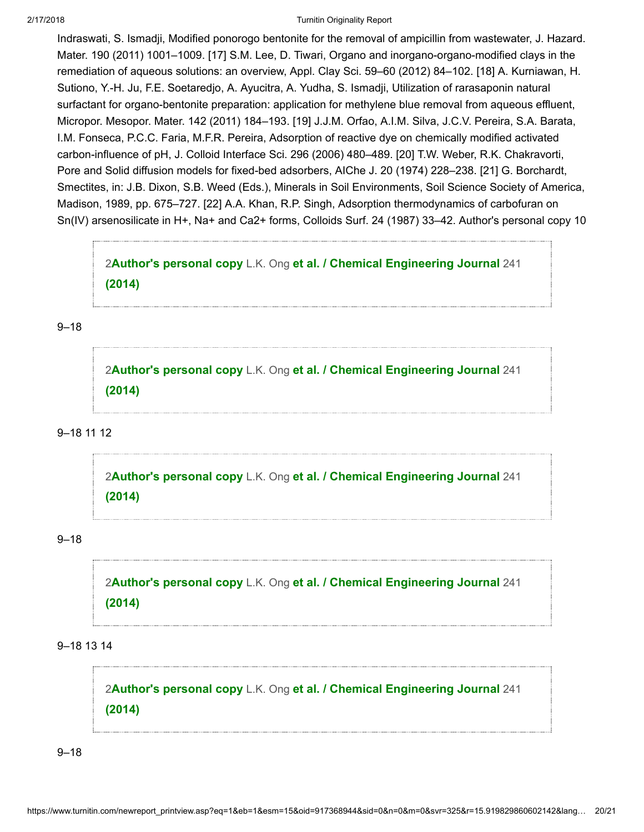Indraswati, S. Ismadji, Modified ponorogo bentonite for the removal of ampicillin from wastewater, J. Hazard. Mater. 190 (2011) 1001–1009. [17] S.M. Lee, D. Tiwari, Organo and inorgano-organo-modified clays in the remediation of aqueous solutions: an overview, Appl. Clay Sci. 59–60 (2012) 84–102. [18] A. Kurniawan, H. Sutiono, Y.-H. Ju, F.E. Soetaredjo, A. Ayucitra, A. Yudha, S. Ismadji, Utilization of rarasaponin natural surfactant for organo-bentonite preparation: application for methylene blue removal from aqueous effluent, Micropor. Mesopor. Mater. 142 (2011) 184–193. [19] J.J.M. Orfao, A.I.M. Silva, J.C.V. Pereira, S.A. Barata, I.M. Fonseca, P.C.C. Faria, M.F.R. Pereira, Adsorption of reactive dye on chemically modified activated carbon-influence of pH, J. Colloid Interface Sci. 296 (2006) 480–489. [20] T.W. Weber, R.K. Chakravorti, Pore and Solid diffusion models for fixed-bed adsorbers, AIChe J. 20 (1974) 228–238. [21] G. Borchardt, Smectites, in: J.B. Dixon, S.B. Weed (Eds.), Minerals in Soil Environments, Soil Science Society of America, Madison, 1989, pp. 675–727. [22] A.A. Khan, R.P. Singh, Adsorption thermodynamics of carbofuran on Sn(IV) arsenosilicate in H+, Na+ and Ca2+ forms, Colloids Surf. 24 (1987) 33–42. Author's personal copy 10

2Author's personal copy L.K. Ong [et al. / Chemical Engineering Journal](javascript:openDSC(2087738277, 2909, ) 241 (2014)

9–18

2Author's personal copy L.K. Ong [et al. / Chemical Engineering Journal](javascript:openDSC(2087738277, 2909, ) 241 (2014)

# 9–18 11 12

2Author's personal copy L.K. Ong [et al. / Chemical Engineering Journal](javascript:openDSC(2087738277, 2909, ) 241 (2014)

# 9–18

2Author's personal copy L.K. Ong [et al. / Chemical Engineering Journal](javascript:openDSC(2087738277, 2909, ) 241 (2014)

9–18 13 14

2Author's personal copy L.K. Ong [et al. / Chemical Engineering Journal](javascript:openDSC(2087738277, 2909, ) 241 (2014)

9–18